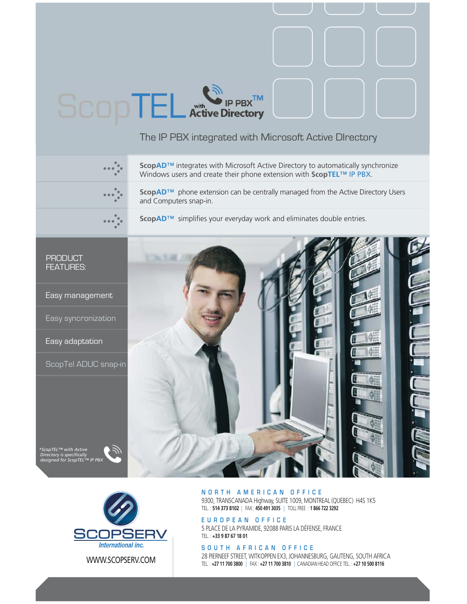# $P$  PBX  $^{TM}$ Active Directory

# The IP PBX integrated with Microsoft Active DIrectory



**ScopAD™** integrates with Microsoft Active Directory to automatically synchronize Windows users and create their phone extension with **ScopTEL**™ IP PBX.

**ScopAD™** phone extension can be centrally managed from the Active Directory Users and Computers snap-in.



**ScopAD**™ simplifies your everyday work and eliminates double entries.

## PRODUCT FEATURES:

Easy management

Easy syncronization

Easy adaptation

 *\*ScopTEL™ with Active Directory is specifically* 

ScopTel ADUC snap-in





### **NORTH AMERICAN OFFICE**

9300, TRANSCANADA Highway, SUITE 1009, MONTREAL (QUEBEC) H4S 1K5 TEL. : **514 373 8102** | FAX : **450 491 3035** | TOLL FREE : **1 866 722 3292**

**EUROPEAN OFFICE**

5 PLACE DE LA PYRAMIDE, 92088 PARIS LA DÉFENSE, FRANCE TEL. : **+33 9 87 67 18 01**

### **SOUTH AFRICAN OFFICE**

28 PIERNEEF STREET, WITKOPPEN EX3, JOHANNESBURG, GAUTENG, SOUTH AFRICA TEL. : **+27 11 700 3800** | FAX : **+27 11 700 3810** | CANADIAN HEAD OFFICE TEL. : **+27 10 500 8116**